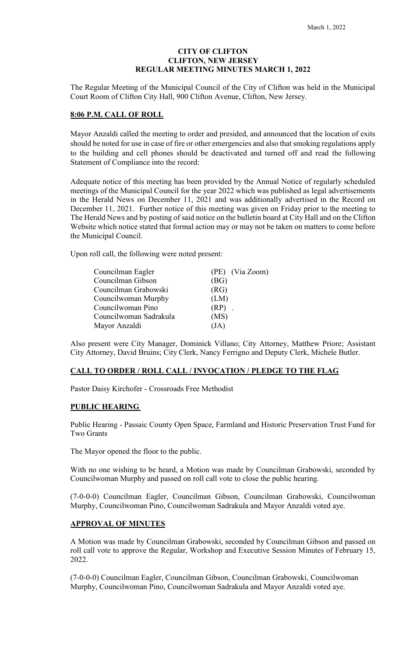# **CITY OF CLIFTON CLIFTON, NEW JERSEY REGULAR MEETING MINUTES MARCH 1, 2022**

The Regular Meeting of the Municipal Council of the City of Clifton was held in the Municipal Court Room of Clifton City Hall, 900 Clifton Avenue, Clifton, New Jersey.

#### **8:06 P.M. CALL OF ROLL**

Mayor Anzaldi called the meeting to order and presided, and announced that the location of exits should be noted for use in case of fire or other emergencies and also that smoking regulations apply to the building and cell phones should be deactivated and turned off and read the following Statement of Compliance into the record:

Adequate notice of this meeting has been provided by the Annual Notice of regularly scheduled meetings of the Municipal Council for the year 2022 which was published as legal advertisements in the Herald News on December 11, 2021 and was additionally advertised in the Record on December 11, 2021. Further notice of this meeting was given on Friday prior to the meeting to The Herald News and by posting of said notice on the bulletin board at City Hall and on the Clifton Website which notice stated that formal action may or may not be taken on matters to come before the Municipal Council.

Upon roll call, the following were noted present:

| Councilman Eagler      | (PE) (Via Zoom) |
|------------------------|-----------------|
| Councilman Gibson      | (BG)            |
| Councilman Grabowski   | (RG)            |
| Councilwoman Murphy    | (LM)            |
| Councilwoman Pino      | $(RP)$ .        |
| Councilwoman Sadrakula | (MS)            |
| Mayor Anzaldi          | (JA)            |

Also present were City Manager, Dominick Villano; City Attorney, Matthew Priore; Assistant City Attorney, David Bruins; City Clerk, Nancy Ferrigno and Deputy Clerk, Michele Butler.

# **CALL TO ORDER / ROLL CALL / INVOCATION / PLEDGE TO THE FLAG**

Pastor Daisy Kirchofer - Crossroads Free Methodist

#### **PUBLIC HEARING**

Public Hearing - Passaic County Open Space, Farmland and Historic Preservation Trust Fund for Two Grants

The Mayor opened the floor to the public.

With no one wishing to be heard, a Motion was made by Councilman Grabowski, seconded by Councilwoman Murphy and passed on roll call vote to close the public hearing.

(7-0-0-0) Councilman Eagler, Councilman Gibson, Councilman Grabowski, Councilwoman Murphy, Councilwoman Pino, Councilwoman Sadrakula and Mayor Anzaldi voted aye.

#### **APPROVAL OF MINUTES**

A Motion was made by Councilman Grabowski, seconded by Councilman Gibson and passed on roll call vote to approve the Regular, Workshop and Executive Session Minutes of February 15, 2022.

(7-0-0-0) Councilman Eagler, Councilman Gibson, Councilman Grabowski, Councilwoman Murphy, Councilwoman Pino, Councilwoman Sadrakula and Mayor Anzaldi voted aye.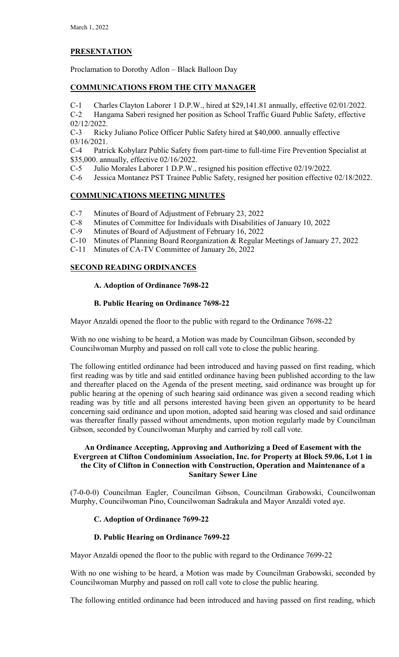# **PRESENTATION**

Proclamation to Dorothy Adlon – Black Balloon Day

# **COMMUNICATIONS FROM THE CITY MANAGER**

C-1 Charles Clayton Laborer 1 D.P.W., hired at \$29,141.81 annually, effective 02/01/2022. C-2 Hangama Saberi resigned her position as School Traffic Guard Public Safety, effective 02/12/2022.

C-3 Ricky Juliano Police Officer Public Safety hired at \$40,000. annually effective 03/16/2021.

C-4 Patrick Kobylarz Public Safety from part-time to full-time Fire Prevention Specialist at \$35,000. annually, effective 02/16/2022.

C-5 Julio Morales Laborer 1 D.P.W., resigned his position effective 02/19/2022.

C-6 Jessica Montanez PST Trainee Public Safety, resigned her position effective 02/18/2022.

# **COMMUNICATIONS MEETING MINUTES**

- C-7 Minutes of Board of Adjustment of February 23, 2022
- C-8 Minutes of Committee for Individuals with Disabilities of January 10, 2022
- C-9 Minutes of Board of Adjustment of February 16, 2022
- C-10 Minutes of Planning Board Reorganization & Regular Meetings of January 27, 2022
- C-11 Minutes of CA-TV Committee of January 26, 2022

# **SECOND READING ORDINANCES**

# **A. Adoption of Ordinance 7698-22**

# **B. Public Hearing on Ordinance 7698-22**

Mayor Anzaldi opened the floor to the public with regard to the Ordinance 7698-22

With no one wishing to be heard, a Motion was made by Councilman Gibson, seconded by Councilwoman Murphy and passed on roll call vote to close the public hearing.

The following entitled ordinance had been introduced and having passed on first reading, which first reading was by title and said entitled ordinance having been published according to the law and thereafter placed on the Agenda of the present meeting, said ordinance was brought up for public hearing at the opening of such hearing said ordinance was given a second reading which reading was by title and all persons interested having been given an opportunity to be heard concerning said ordinance and upon motion, adopted said hearing was closed and said ordinance was thereafter finally passed without amendments, upon motion regularly made by Councilman Gibson, seconded by Councilwoman Murphy and carried by roll call vote.

# **An Ordinance Accepting, Approving and Authorizing a Deed of Easement with the Evergreen at Clifton Condominium Association, Inc. for Property at Block 59.06, Lot 1 in the City of Clifton in Connection with Construction, Operation and Maintenance of a Sanitary Sewer Line**

(7-0-0-0) Councilman Eagler, Councilman Gibson, Councilman Grabowski, Councilwoman Murphy, Councilwoman Pino, Councilwoman Sadrakula and Mayor Anzaldi voted aye.

# **C. Adoption of Ordinance 7699-22**

# **D. Public Hearing on Ordinance 7699-22**

Mayor Anzaldi opened the floor to the public with regard to the Ordinance 7699-22

With no one wishing to be heard, a Motion was made by Councilman Grabowski, seconded by Councilwoman Murphy and passed on roll call vote to close the public hearing.

The following entitled ordinance had been introduced and having passed on first reading, which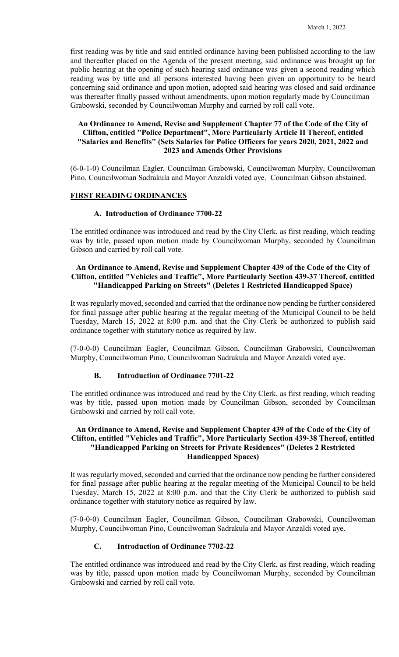first reading was by title and said entitled ordinance having been published according to the law and thereafter placed on the Agenda of the present meeting, said ordinance was brought up for public hearing at the opening of such hearing said ordinance was given a second reading which reading was by title and all persons interested having been given an opportunity to be heard concerning said ordinance and upon motion, adopted said hearing was closed and said ordinance was thereafter finally passed without amendments, upon motion regularly made by Councilman Grabowski, seconded by Councilwoman Murphy and carried by roll call vote.

# **An Ordinance to Amend, Revise and Supplement Chapter 77 of the Code of the City of Clifton, entitled "Police Department", More Particularly Article II Thereof, entitled "Salaries and Benefits" (Sets Salaries for Police Officers for years 2020, 2021, 2022 and 2023 and Amends Other Provisions**

(6-0-1-0) Councilman Eagler, Councilman Grabowski, Councilwoman Murphy, Councilwoman Pino, Councilwoman Sadrakula and Mayor Anzaldi voted aye. Councilman Gibson abstained.

#### **FIRST READING ORDINANCES**

# **A. Introduction of Ordinance 7700-22**

The entitled ordinance was introduced and read by the City Clerk, as first reading, which reading was by title, passed upon motion made by Councilwoman Murphy, seconded by Councilman Gibson and carried by roll call vote.

#### **An Ordinance to Amend, Revise and Supplement Chapter 439 of the Code of the City of Clifton, entitled "Vehicles and Traffic", More Particularly Section 439-37 Thereof, entitled "Handicapped Parking on Streets" (Deletes 1 Restricted Handicapped Space)**

It was regularly moved, seconded and carried that the ordinance now pending be further considered for final passage after public hearing at the regular meeting of the Municipal Council to be held Tuesday, March 15, 2022 at 8:00 p.m. and that the City Clerk be authorized to publish said ordinance together with statutory notice as required by law.

(7-0-0-0) Councilman Eagler, Councilman Gibson, Councilman Grabowski, Councilwoman Murphy, Councilwoman Pino, Councilwoman Sadrakula and Mayor Anzaldi voted aye.

# **B. Introduction of Ordinance 7701-22**

The entitled ordinance was introduced and read by the City Clerk, as first reading, which reading was by title, passed upon motion made by Councilman Gibson, seconded by Councilman Grabowski and carried by roll call vote.

# **An Ordinance to Amend, Revise and Supplement Chapter 439 of the Code of the City of Clifton, entitled "Vehicles and Traffic", More Particularly Section 439-38 Thereof, entitled "Handicapped Parking on Streets for Private Residences" (Deletes 2 Restricted Handicapped Spaces)**

It was regularly moved, seconded and carried that the ordinance now pending be further considered for final passage after public hearing at the regular meeting of the Municipal Council to be held Tuesday, March 15, 2022 at 8:00 p.m. and that the City Clerk be authorized to publish said ordinance together with statutory notice as required by law.

(7-0-0-0) Councilman Eagler, Councilman Gibson, Councilman Grabowski, Councilwoman Murphy, Councilwoman Pino, Councilwoman Sadrakula and Mayor Anzaldi voted aye.

# **C. Introduction of Ordinance 7702-22**

The entitled ordinance was introduced and read by the City Clerk, as first reading, which reading was by title, passed upon motion made by Councilwoman Murphy, seconded by Councilman Grabowski and carried by roll call vote.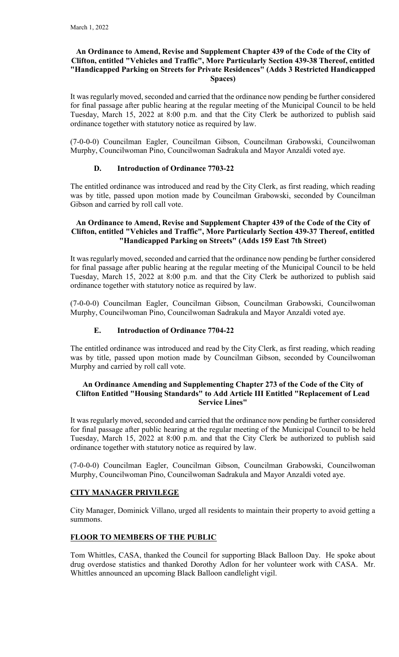# **An Ordinance to Amend, Revise and Supplement Chapter 439 of the Code of the City of Clifton, entitled "Vehicles and Traffic", More Particularly Section 439-38 Thereof, entitled "Handicapped Parking on Streets for Private Residences" (Adds 3 Restricted Handicapped Spaces)**

It was regularly moved, seconded and carried that the ordinance now pending be further considered for final passage after public hearing at the regular meeting of the Municipal Council to be held Tuesday, March 15, 2022 at 8:00 p.m. and that the City Clerk be authorized to publish said ordinance together with statutory notice as required by law.

(7-0-0-0) Councilman Eagler, Councilman Gibson, Councilman Grabowski, Councilwoman Murphy, Councilwoman Pino, Councilwoman Sadrakula and Mayor Anzaldi voted aye.

# **D. Introduction of Ordinance 7703-22**

The entitled ordinance was introduced and read by the City Clerk, as first reading, which reading was by title, passed upon motion made by Councilman Grabowski, seconded by Councilman Gibson and carried by roll call vote.

#### **An Ordinance to Amend, Revise and Supplement Chapter 439 of the Code of the City of Clifton, entitled "Vehicles and Traffic", More Particularly Section 439-37 Thereof, entitled "Handicapped Parking on Streets" (Adds 159 East 7th Street)**

It was regularly moved, seconded and carried that the ordinance now pending be further considered for final passage after public hearing at the regular meeting of the Municipal Council to be held Tuesday, March 15, 2022 at 8:00 p.m. and that the City Clerk be authorized to publish said ordinance together with statutory notice as required by law.

(7-0-0-0) Councilman Eagler, Councilman Gibson, Councilman Grabowski, Councilwoman Murphy, Councilwoman Pino, Councilwoman Sadrakula and Mayor Anzaldi voted aye.

# **E. Introduction of Ordinance 7704-22**

The entitled ordinance was introduced and read by the City Clerk, as first reading, which reading was by title, passed upon motion made by Councilman Gibson, seconded by Councilwoman Murphy and carried by roll call vote.

# **An Ordinance Amending and Supplementing Chapter 273 of the Code of the City of Clifton Entitled "Housing Standards" to Add Article III Entitled "Replacement of Lead Service Lines"**

It was regularly moved, seconded and carried that the ordinance now pending be further considered for final passage after public hearing at the regular meeting of the Municipal Council to be held Tuesday, March 15, 2022 at 8:00 p.m. and that the City Clerk be authorized to publish said ordinance together with statutory notice as required by law.

(7-0-0-0) Councilman Eagler, Councilman Gibson, Councilman Grabowski, Councilwoman Murphy, Councilwoman Pino, Councilwoman Sadrakula and Mayor Anzaldi voted aye.

# **CITY MANAGER PRIVILEGE**

City Manager, Dominick Villano, urged all residents to maintain their property to avoid getting a summons.

# **FLOOR TO MEMBERS OF THE PUBLIC**

Tom Whittles, CASA, thanked the Council for supporting Black Balloon Day. He spoke about drug overdose statistics and thanked Dorothy Adlon for her volunteer work with CASA. Mr. Whittles announced an upcoming Black Balloon candlelight vigil.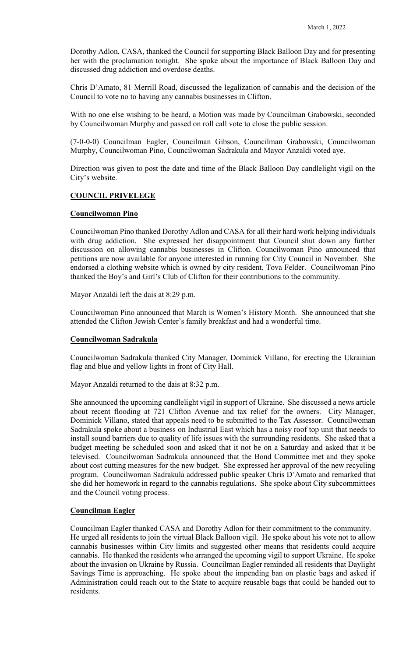Dorothy Adlon, CASA, thanked the Council for supporting Black Balloon Day and for presenting her with the proclamation tonight. She spoke about the importance of Black Balloon Day and discussed drug addiction and overdose deaths.

Chris D'Amato, 81 Merrill Road, discussed the legalization of cannabis and the decision of the Council to vote no to having any cannabis businesses in Clifton.

With no one else wishing to be heard, a Motion was made by Councilman Grabowski, seconded by Councilwoman Murphy and passed on roll call vote to close the public session.

(7-0-0-0) Councilman Eagler, Councilman Gibson, Councilman Grabowski, Councilwoman Murphy, Councilwoman Pino, Councilwoman Sadrakula and Mayor Anzaldi voted aye.

Direction was given to post the date and time of the Black Balloon Day candlelight vigil on the City's website.

#### **COUNCIL PRIVELEGE**

#### **Councilwoman Pino**

Councilwoman Pino thanked Dorothy Adlon and CASA for all their hard work helping individuals with drug addiction. She expressed her disappointment that Council shut down any further discussion on allowing cannabis businesses in Clifton. Councilwoman Pino announced that petitions are now available for anyone interested in running for City Council in November. She endorsed a clothing website which is owned by city resident, Tova Felder. Councilwoman Pino thanked the Boy's and Girl's Club of Clifton for their contributions to the community.

Mayor Anzaldi left the dais at 8:29 p.m.

Councilwoman Pino announced that March is Women's History Month. She announced that she attended the Clifton Jewish Center's family breakfast and had a wonderful time.

#### **Councilwoman Sadrakula**

Councilwoman Sadrakula thanked City Manager, Dominick Villano, for erecting the Ukrainian flag and blue and yellow lights in front of City Hall.

Mayor Anzaldi returned to the dais at 8:32 p.m.

She announced the upcoming candlelight vigil in support of Ukraine. She discussed a news article about recent flooding at 721 Clifton Avenue and tax relief for the owners. City Manager, Dominick Villano, stated that appeals need to be submitted to the Tax Assessor. Councilwoman Sadrakula spoke about a business on Industrial East which has a noisy roof top unit that needs to install sound barriers due to quality of life issues with the surrounding residents. She asked that a budget meeting be scheduled soon and asked that it not be on a Saturday and asked that it be televised. Councilwoman Sadrakula announced that the Bond Committee met and they spoke about cost cutting measures for the new budget. She expressed her approval of the new recycling program. Councilwoman Sadrakula addressed public speaker Chris D'Amato and remarked that she did her homework in regard to the cannabis regulations. She spoke about City subcommittees and the Council voting process.

#### **Councilman Eagler**

Councilman Eagler thanked CASA and Dorothy Adlon for their commitment to the community. He urged all residents to join the virtual Black Balloon vigil. He spoke about his vote not to allow cannabis businesses within City limits and suggested other means that residents could acquire cannabis. He thanked the residents who arranged the upcoming vigil to support Ukraine. He spoke about the invasion on Ukraine by Russia. Councilman Eagler reminded all residents that Daylight Savings Time is approaching. He spoke about the impending ban on plastic bags and asked if Administration could reach out to the State to acquire reusable bags that could be handed out to residents.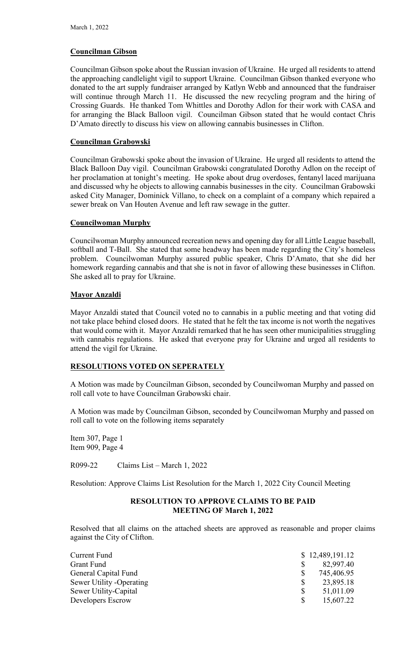# **Councilman Gibson**

Councilman Gibson spoke about the Russian invasion of Ukraine. He urged all residents to attend the approaching candlelight vigil to support Ukraine. Councilman Gibson thanked everyone who donated to the art supply fundraiser arranged by Katlyn Webb and announced that the fundraiser will continue through March 11. He discussed the new recycling program and the hiring of Crossing Guards. He thanked Tom Whittles and Dorothy Adlon for their work with CASA and for arranging the Black Balloon vigil. Councilman Gibson stated that he would contact Chris D'Amato directly to discuss his view on allowing cannabis businesses in Clifton.

# **Councilman Grabowski**

Councilman Grabowski spoke about the invasion of Ukraine. He urged all residents to attend the Black Balloon Day vigil. Councilman Grabowski congratulated Dorothy Adlon on the receipt of her proclamation at tonight's meeting. He spoke about drug overdoses, fentanyl laced marijuana and discussed why he objects to allowing cannabis businesses in the city. Councilman Grabowski asked City Manager, Dominick Villano, to check on a complaint of a company which repaired a sewer break on Van Houten Avenue and left raw sewage in the gutter.

# **Councilwoman Murphy**

Councilwoman Murphy announced recreation news and opening day for all Little League baseball, softball and T-Ball. She stated that some headway has been made regarding the City's homeless problem. Councilwoman Murphy assured public speaker, Chris D'Amato, that she did her homework regarding cannabis and that she is not in favor of allowing these businesses in Clifton. She asked all to pray for Ukraine.

# **Mayor Anzaldi**

Mayor Anzaldi stated that Council voted no to cannabis in a public meeting and that voting did not take place behind closed doors. He stated that he felt the tax income is not worth the negatives that would come with it. Mayor Anzaldi remarked that he has seen other municipalities struggling with cannabis regulations. He asked that everyone pray for Ukraine and urged all residents to attend the vigil for Ukraine.

# **RESOLUTIONS VOTED ON SEPERATELY**

A Motion was made by Councilman Gibson, seconded by Councilwoman Murphy and passed on roll call vote to have Councilman Grabowski chair.

A Motion was made by Councilman Gibson, seconded by Councilwoman Murphy and passed on roll call to vote on the following items separately

Item 307, Page 1 Item 909, Page 4

R099-22 Claims List – March 1, 2022

Resolution: Approve Claims List Resolution for the March 1, 2022 City Council Meeting

# **RESOLUTION TO APPROVE CLAIMS TO BE PAID MEETING OF March 1, 2022**

Resolved that all claims on the attached sheets are approved as reasonable and proper claims against the City of Clifton.

| Current Fund              | \$12,489,191.12 |
|---------------------------|-----------------|
| Grant Fund                | 82,997.40       |
| General Capital Fund      | 745,406.95      |
| Sewer Utility - Operating | 23,895.18       |
| Sewer Utility-Capital     | 51,011.09       |
| Developers Escrow         | 15,607.22       |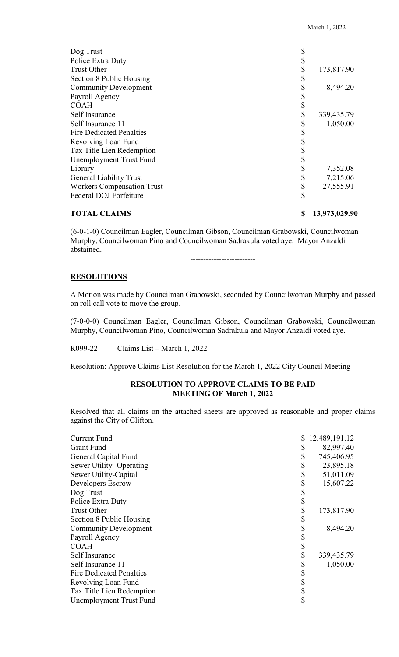| Dog Trust                         |            |
|-----------------------------------|------------|
| Police Extra Duty                 |            |
| <b>Trust Other</b>                | 173,817.90 |
| Section 8 Public Housing          |            |
| <b>Community Development</b>      | 8,494.20   |
| Payroll Agency                    |            |
| <b>COAH</b>                       |            |
| Self Insurance                    | 339,435.79 |
| Self Insurance 11                 | 1,050.00   |
| <b>Fire Dedicated Penalties</b>   |            |
| Revolving Loan Fund               |            |
| Tax Title Lien Redemption         |            |
| Unemployment Trust Fund           |            |
| Library                           | 7,352.08   |
| <b>General Liability Trust</b>    | 7,215.06   |
| <b>Workers Compensation Trust</b> | 27,555.91  |
| Federal DOJ Forfeiture            | \$         |

# **TOTAL CLAIMS** \$ 13,973,029.90

(6-0-1-0) Councilman Eagler, Councilman Gibson, Councilman Grabowski, Councilwoman Murphy, Councilwoman Pino and Councilwoman Sadrakula voted aye. Mayor Anzaldi abstained.

# **RESOLUTIONS**

A Motion was made by Councilman Grabowski, seconded by Councilwoman Murphy and passed on roll call vote to move the group.

-------------------------

(7-0-0-0) Councilman Eagler, Councilman Gibson, Councilman Grabowski, Councilwoman Murphy, Councilwoman Pino, Councilwoman Sadrakula and Mayor Anzaldi voted aye.

R099-22 Claims List – March 1, 2022

Resolution: Approve Claims List Resolution for the March 1, 2022 City Council Meeting

#### **RESOLUTION TO APPROVE CLAIMS TO BE PAID MEETING OF March 1, 2022**

Resolved that all claims on the attached sheets are approved as reasonable and proper claims against the City of Clifton.

| Current Fund                    | 12,489,191.12    |
|---------------------------------|------------------|
| <b>Grant Fund</b>               | 82,997.40        |
| General Capital Fund            | 745,406.95       |
| <b>Sewer Utility -Operating</b> | 23,895.18        |
| Sewer Utility-Capital           | 51,011.09        |
| Developers Escrow               | 15,607.22        |
| Dog Trust                       |                  |
| Police Extra Duty               |                  |
| <b>Trust Other</b>              | 173,817.90       |
| Section 8 Public Housing        |                  |
| <b>Community Development</b>    | 8,494.20         |
| Payroll Agency                  |                  |
| COAH                            |                  |
| Self Insurance                  | \$<br>339,435.79 |
| Self Insurance 11               | 1,050.00         |
| Fire Dedicated Penalties        |                  |
| Revolving Loan Fund             |                  |
| Tax Title Lien Redemption       | \$               |
| <b>Unemployment Trust Fund</b>  | \$               |
|                                 |                  |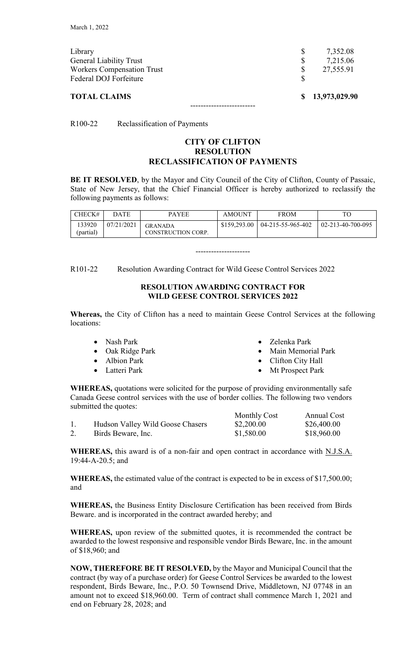| <b>TOTAL CLAIMS</b>               |    | \$13,973,029.90 |
|-----------------------------------|----|-----------------|
| Federal DOJ Forfeiture            | S  |                 |
| <b>Workers Compensation Trust</b> |    | 27,555.91       |
| <b>General Liability Trust</b>    | \$ | 7,215.06        |
| Library                           |    | 7,352.08        |
|                                   |    |                 |

R100-22 Reclassification of Payments

# **CITY OF CLIFTON RESOLUTION RECLASSIFICATION OF PAYMENTS**

**BE IT RESOLVED**, by the Mayor and City Council of the City of Clifton, County of Passaic, State of New Jersey, that the Chief Financial Officer is hereby authorized to reclassify the following payments as follows:

| CHECK#              | DATE       | <b>PAYEE</b>                         | <b>AMOUNT</b> | <b>FROM</b>       |                   |
|---------------------|------------|--------------------------------------|---------------|-------------------|-------------------|
| 133920<br>(partial) | 07/21/2021 | <b>GRANADA</b><br>CONSTRUCTION CORP. | \$159,293.00  | 04-215-55-965-402 | 02-213-40-700-095 |

---------------------

R101-22 Resolution Awarding Contract for Wild Geese Control Services 2022

# **RESOLUTION AWARDING CONTRACT FOR WILD GEESE CONTROL SERVICES 2022**

**Whereas,** the City of Clifton has a need to maintain Geese Control Services at the following locations:

- Nash Park • Oak Ridge Park • Albion Park • Latteri Park • Zelenka Park • Main Memorial Park • Clifton City Hall
	- **Mt Prospect Park**

**WHEREAS,** quotations were solicited for the purpose of providing environmentally safe Canada Geese control services with the use of border collies. The following two vendors submitted the quotes:

|                                  | <b>Monthly Cost</b> | Annual Cost |
|----------------------------------|---------------------|-------------|
| Hudson Valley Wild Goose Chasers | \$2,200.00          | \$26,400.00 |
| Birds Beware, Inc.               | \$1,580.00          | \$18,960.00 |

**WHEREAS,** this award is of a non-fair and open contract in accordance with N.J.S.A. 19:44-A-20.5; and

**WHEREAS,** the estimated value of the contract is expected to be in excess of \$17,500.00; and

**WHEREAS,** the Business Entity Disclosure Certification has been received from Birds Beware. and is incorporated in the contract awarded hereby; and

**WHEREAS,** upon review of the submitted quotes, it is recommended the contract be awarded to the lowest responsive and responsible vendor Birds Beware, Inc. in the amount of \$18,960; and

**NOW, THEREFORE BE IT RESOLVED,** by the Mayor and Municipal Council that the contract (by way of a purchase order) for Geese Control Services be awarded to the lowest respondent, Birds Beware, Inc., P.O. 50 Townsend Drive, Middletown, NJ 07748 in an amount not to exceed \$18,960.00. Term of contract shall commence March 1, 2021 and end on February 28, 2028; and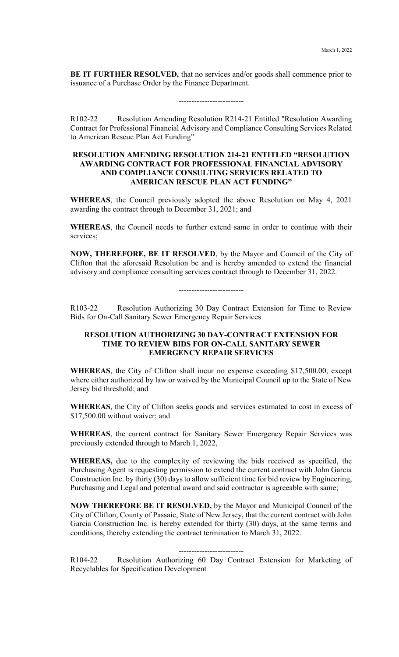**BE IT FURTHER RESOLVED,** that no services and/or goods shall commence prior to issuance of a Purchase Order by the Finance Department.

-------------------------

R102-22 Resolution Amending Resolution R214-21 Entitled "Resolution Awarding Contract for Professional Financial Advisory and Compliance Consulting Services Related to American Rescue Plan Act Funding"

#### **RESOLUTION AMENDING RESOLUTION 214-21 ENTITLED "RESOLUTION AWARDING CONTRACT FOR PROFESSIONAL FINANCIAL ADVISORY AND COMPLIANCE CONSULTING SERVICES RELATED TO AMERICAN RESCUE PLAN ACT FUNDING"**

**WHEREAS**, the Council previously adopted the above Resolution on May 4, 2021 awarding the contract through to December 31, 2021; and

**WHEREAS**, the Council needs to further extend same in order to continue with their services;

**NOW, THEREFORE, BE IT RESOLVED**, by the Mayor and Council of the City of Clifton that the aforesaid Resolution be and is hereby amended to extend the financial advisory and compliance consulting services contract through to December 31, 2022.

-------------------------

R103-22 Resolution Authorizing 30 Day Contract Extension for Time to Review Bids for On-Call Sanitary Sewer Emergency Repair Services

#### **RESOLUTION AUTHORIZING 30 DAY-CONTRACT EXTENSION FOR TIME TO REVIEW BIDS FOR ON-CALL SANITARY SEWER EMERGENCY REPAIR SERVICES**

**WHEREAS**, the City of Clifton shall incur no expense exceeding \$17,500.00, except where either authorized by law or waived by the Municipal Council up to the State of New Jersey bid threshold; and

**WHEREAS**, the City of Clifton seeks goods and services estimated to cost in excess of \$17,500.00 without waiver; and

**WHEREAS**, the current contract for Sanitary Sewer Emergency Repair Services was previously extended through to March 1, 2022,

**WHEREAS,** due to the complexity of reviewing the bids received as specified, the Purchasing Agent is requesting permission to extend the current contract with John Garcia Construction Inc. by thirty (30) days to allow sufficient time for bid review by Engineering, Purchasing and Legal and potential award and said contractor is agreeable with same;

**NOW THEREFORE BE IT RESOLVED,** by the Mayor and Municipal Council of the City of Clifton, County of Passaic, State of New Jersey, that the current contract with John Garcia Construction Inc. is hereby extended for thirty (30) days, at the same terms and conditions, thereby extending the contract termination to March 31, 2022.

#### -------------------------

R104-22 Resolution Authorizing 60 Day Contract Extension for Marketing of Recyclables for Specification Development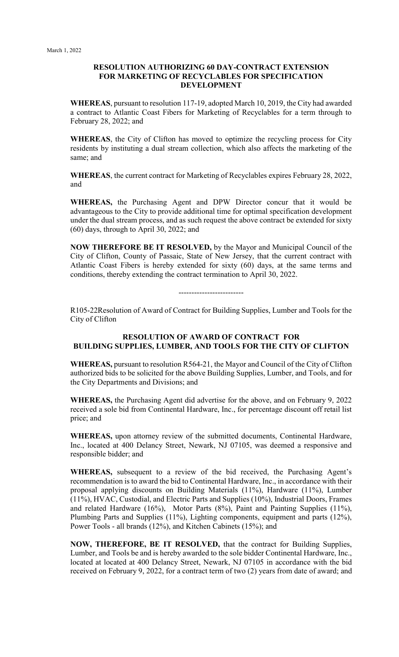#### **RESOLUTION AUTHORIZING 60 DAY-CONTRACT EXTENSION FOR MARKETING OF RECYCLABLES FOR SPECIFICATION DEVELOPMENT**

**WHEREAS**, pursuant to resolution 117-19, adopted March 10, 2019, the City had awarded a contract to Atlantic Coast Fibers for Marketing of Recyclables for a term through to February 28, 2022; and

**WHEREAS**, the City of Clifton has moved to optimize the recycling process for City residents by instituting a dual stream collection, which also affects the marketing of the same; and

**WHEREAS**, the current contract for Marketing of Recyclables expires February 28, 2022, and

**WHEREAS,** the Purchasing Agent and DPW Director concur that it would be advantageous to the City to provide additional time for optimal specification development under the dual stream process, and as such request the above contract be extended for sixty (60) days, through to April 30, 2022; and

**NOW THEREFORE BE IT RESOLVED,** by the Mayor and Municipal Council of the City of Clifton, County of Passaic, State of New Jersey, that the current contract with Atlantic Coast Fibers is hereby extended for sixty (60) days, at the same terms and conditions, thereby extending the contract termination to April 30, 2022.

-------------------------

R105-22Resolution of Award of Contract for Building Supplies, Lumber and Tools for the City of Clifton

# **RESOLUTION OF AWARD OF CONTRACT FOR BUILDING SUPPLIES, LUMBER, AND TOOLS FOR THE CITY OF CLIFTON**

**WHEREAS,** pursuant to resolution R564-21, the Mayor and Council of the City of Clifton authorized bids to be solicited for the above Building Supplies, Lumber, and Tools, and for the City Departments and Divisions; and

**WHEREAS,** the Purchasing Agent did advertise for the above, and on February 9, 2022 received a sole bid from Continental Hardware, Inc., for percentage discount off retail list price; and

**WHEREAS,** upon attorney review of the submitted documents, Continental Hardware, Inc., located at 400 Delancy Street, Newark, NJ 07105, was deemed a responsive and responsible bidder; and

**WHEREAS,** subsequent to a review of the bid received, the Purchasing Agent's recommendation is to award the bid to Continental Hardware, Inc., in accordance with their proposal applying discounts on Building Materials (11%), Hardware (11%), Lumber (11%), HVAC, Custodial, and Electric Parts and Supplies (10%), Industrial Doors, Frames and related Hardware (16%), Motor Parts (8%), Paint and Painting Supplies (11%), Plumbing Parts and Supplies (11%), Lighting components, equipment and parts (12%), Power Tools - all brands (12%), and Kitchen Cabinets (15%); and

**NOW, THEREFORE, BE IT RESOLVED,** that the contract for Building Supplies, Lumber, and Tools be and is hereby awarded to the sole bidder Continental Hardware, Inc., located at located at 400 Delancy Street, Newark, NJ 07105 in accordance with the bid received on February 9, 2022, for a contract term of two (2) years from date of award; and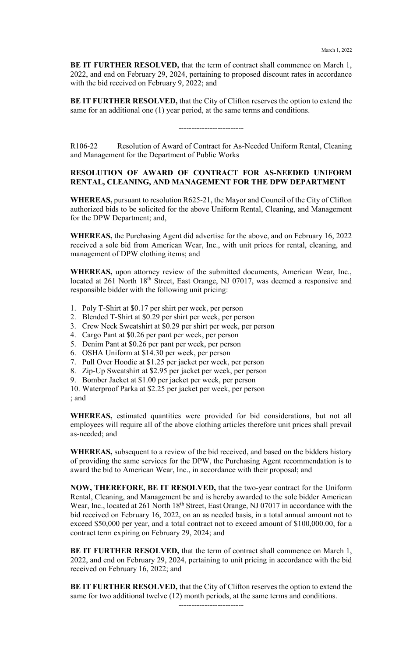**BE IT FURTHER RESOLVED,** that the term of contract shall commence on March 1, 2022, and end on February 29, 2024, pertaining to proposed discount rates in accordance with the bid received on February 9, 2022; and

**BE IT FURTHER RESOLVED,** that the City of Clifton reserves the option to extend the same for an additional one (1) year period, at the same terms and conditions.

#### -------------------------

R106-22 Resolution of Award of Contract for As-Needed Uniform Rental, Cleaning and Management for the Department of Public Works

#### **RESOLUTION OF AWARD OF CONTRACT FOR AS-NEEDED UNIFORM RENTAL, CLEANING, AND MANAGEMENT FOR THE DPW DEPARTMENT**

**WHEREAS,** pursuant to resolution R625-21, the Mayor and Council of the City of Clifton authorized bids to be solicited for the above Uniform Rental, Cleaning, and Management for the DPW Department; and,

**WHEREAS,** the Purchasing Agent did advertise for the above, and on February 16, 2022 received a sole bid from American Wear, Inc., with unit prices for rental, cleaning, and management of DPW clothing items; and

**WHEREAS,** upon attorney review of the submitted documents, American Wear, Inc., located at 261 North 18<sup>th</sup> Street, East Orange, NJ 07017, was deemed a responsive and responsible bidder with the following unit pricing:

- 1. Poly T-Shirt at \$0.17 per shirt per week, per person
- 2. Blended T-Shirt at \$0.29 per shirt per week, per person
- 3. Crew Neck Sweatshirt at \$0.29 per shirt per week, per person
- 4. Cargo Pant at \$0.26 per pant per week, per person
- 5. Denim Pant at \$0.26 per pant per week, per person
- 6. OSHA Uniform at \$14.30 per week, per person
- 7. Pull Over Hoodie at \$1.25 per jacket per week, per person
- 8. Zip-Up Sweatshirt at \$2.95 per jacket per week, per person
- 9. Bomber Jacket at \$1.00 per jacket per week, per person

10. Waterproof Parka at \$2.25 per jacket per week, per person ; and

**WHEREAS,** estimated quantities were provided for bid considerations, but not all employees will require all of the above clothing articles therefore unit prices shall prevail as-needed; and

**WHEREAS,** subsequent to a review of the bid received, and based on the bidders history of providing the same services for the DPW, the Purchasing Agent recommendation is to award the bid to American Wear, Inc., in accordance with their proposal; and

**NOW, THEREFORE, BE IT RESOLVED,** that the two-year contract for the Uniform Rental, Cleaning, and Management be and is hereby awarded to the sole bidder American Wear, Inc., located at 261 North 18<sup>th</sup> Street, East Orange, NJ 07017 in accordance with the bid received on February 16, 2022, on an as needed basis, in a total annual amount not to exceed \$50,000 per year, and a total contract not to exceed amount of \$100,000.00, for a contract term expiring on February 29, 2024; and

**BE IT FURTHER RESOLVED,** that the term of contract shall commence on March 1, 2022, and end on February 29, 2024, pertaining to unit pricing in accordance with the bid received on February 16, 2022; and

**BE IT FURTHER RESOLVED,** that the City of Clifton reserves the option to extend the same for two additional twelve (12) month periods, at the same terms and conditions.

-------------------------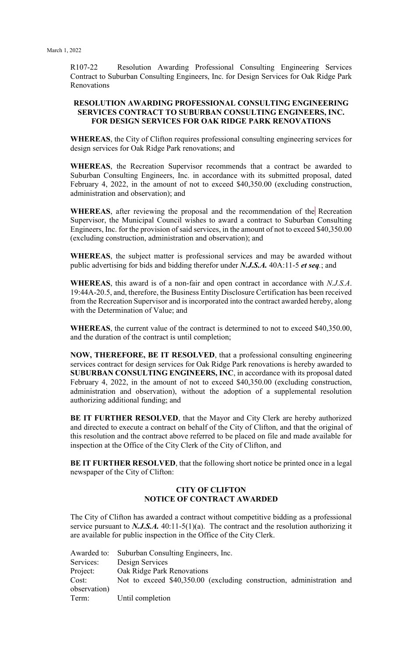R107-22 Resolution Awarding Professional Consulting Engineering Services Contract to Suburban Consulting Engineers, Inc. for Design Services for Oak Ridge Park Renovations

#### **RESOLUTION AWARDING PROFESSIONAL CONSULTING ENGINEERING SERVICES CONTRACT TO SUBURBAN CONSULTING ENGINEERS, INC. FOR DESIGN SERVICES FOR OAK RIDGE PARK RENOVATIONS**

**WHEREAS**, the City of Clifton requires professional consulting engineering services for design services for Oak Ridge Park renovations; and

**WHEREAS**, the Recreation Supervisor recommends that a contract be awarded to Suburban Consulting Engineers, Inc. in accordance with its submitted proposal, dated February 4, 2022, in the amount of not to exceed \$40,350.00 (excluding construction, administration and observation); and

WHEREAS, after reviewing the proposal and the recommendation of the Recreation Supervisor, the Municipal Council wishes to award a contract to Suburban Consulting Engineers, Inc. for the provision of said services, in the amount of not to exceed \$40,350.00 (excluding construction, administration and observation); and

**WHEREAS**, the subject matter is professional services and may be awarded without public advertising for bids and bidding therefor under *N.J.S.A.* 40A:11-5 *et seq.*; and

**WHEREAS**, this award is of a non-fair and open contract in accordance with *N.J.S.A*. 19:44A-20.5, and, therefore, the Business Entity Disclosure Certification has been received from the Recreation Supervisor and is incorporated into the contract awarded hereby, along with the Determination of Value; and

**WHEREAS**, the current value of the contract is determined to not to exceed \$40,350.00, and the duration of the contract is until completion;

**NOW, THEREFORE, BE IT RESOLVED**, that a professional consulting engineering services contract for design services for Oak Ridge Park renovations is hereby awarded to **SUBURBAN CONSULTING ENGINEERS, INC**, in accordance with its proposal dated February 4, 2022, in the amount of not to exceed \$40,350.00 (excluding construction, administration and observation), without the adoption of a supplemental resolution authorizing additional funding; and

**BE IT FURTHER RESOLVED**, that the Mayor and City Clerk are hereby authorized and directed to execute a contract on behalf of the City of Clifton, and that the original of this resolution and the contract above referred to be placed on file and made available for inspection at the Office of the City Clerk of the City of Clifton, and

**BE IT FURTHER RESOLVED**, that the following short notice be printed once in a legal newspaper of the City of Clifton:

#### **CITY OF CLIFTON NOTICE OF CONTRACT AWARDED**

The City of Clifton has awarded a contract without competitive bidding as a professional service pursuant to *N.J.S.A*. 40:11-5(1)(a). The contract and the resolution authorizing it are available for public inspection in the Office of the City Clerk.

|              | Awarded to: Suburban Consulting Engineers, Inc.                       |
|--------------|-----------------------------------------------------------------------|
| Services:    | Design Services                                                       |
| Project:     | Oak Ridge Park Renovations                                            |
| Cost:        | Not to exceed \$40,350.00 (excluding construction, administration and |
| observation) |                                                                       |
| Term:        | Until completion                                                      |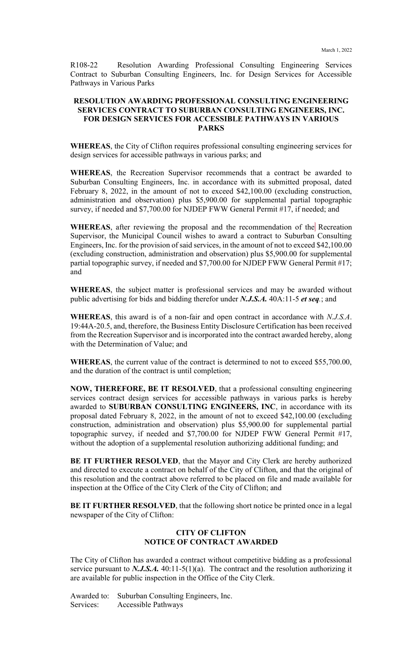R108-22 Resolution Awarding Professional Consulting Engineering Services Contract to Suburban Consulting Engineers, Inc. for Design Services for Accessible Pathways in Various Parks

## **RESOLUTION AWARDING PROFESSIONAL CONSULTING ENGINEERING SERVICES CONTRACT TO SUBURBAN CONSULTING ENGINEERS, INC. FOR DESIGN SERVICES FOR ACCESSIBLE PATHWAYS IN VARIOUS PARKS**

**WHEREAS**, the City of Clifton requires professional consulting engineering services for design services for accessible pathways in various parks; and

**WHEREAS**, the Recreation Supervisor recommends that a contract be awarded to Suburban Consulting Engineers, Inc. in accordance with its submitted proposal, dated February 8, 2022, in the amount of not to exceed \$42,100.00 (excluding construction, administration and observation) plus \$5,900.00 for supplemental partial topographic survey, if needed and \$7,700.00 for NJDEP FWW General Permit #17, if needed; and

**WHEREAS**, after reviewing the proposal and the recommendation of the Recreation Supervisor, the Municipal Council wishes to award a contract to Suburban Consulting Engineers, Inc. for the provision of said services, in the amount of not to exceed \$42,100.00 (excluding construction, administration and observation) plus \$5,900.00 for supplemental partial topographic survey, if needed and \$7,700.00 for NJDEP FWW General Permit #17; and

**WHEREAS**, the subject matter is professional services and may be awarded without public advertising for bids and bidding therefor under *N.J.S.A.* 40A:11-5 *et seq.*; and

**WHEREAS**, this award is of a non-fair and open contract in accordance with *N.J.S.A*. 19:44A-20.5, and, therefore, the Business Entity Disclosure Certification has been received from the Recreation Supervisor and is incorporated into the contract awarded hereby, along with the Determination of Value; and

**WHEREAS**, the current value of the contract is determined to not to exceed \$55,700.00, and the duration of the contract is until completion;

**NOW, THEREFORE, BE IT RESOLVED**, that a professional consulting engineering services contract design services for accessible pathways in various parks is hereby awarded to **SUBURBAN CONSULTING ENGINEERS, INC**, in accordance with its proposal dated February 8, 2022, in the amount of not to exceed \$42,100.00 (excluding construction, administration and observation) plus \$5,900.00 for supplemental partial topographic survey, if needed and \$7,700.00 for NJDEP FWW General Permit #17, without the adoption of a supplemental resolution authorizing additional funding; and

**BE IT FURTHER RESOLVED**, that the Mayor and City Clerk are hereby authorized and directed to execute a contract on behalf of the City of Clifton, and that the original of this resolution and the contract above referred to be placed on file and made available for inspection at the Office of the City Clerk of the City of Clifton; and

**BE IT FURTHER RESOLVED**, that the following short notice be printed once in a legal newspaper of the City of Clifton:

# **CITY OF CLIFTON NOTICE OF CONTRACT AWARDED**

The City of Clifton has awarded a contract without competitive bidding as a professional service pursuant to *N.J.S.A.* 40:11-5(1)(a). The contract and the resolution authorizing it are available for public inspection in the Office of the City Clerk.

Awarded to: Suburban Consulting Engineers, Inc. Services: Accessible Pathways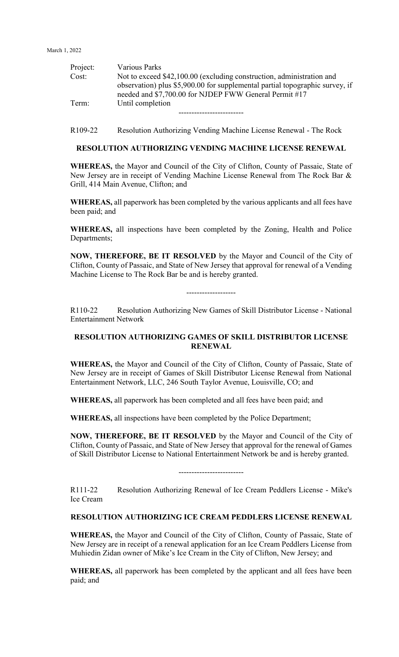March 1, 2022

| Project: | Various Parks                                                                |
|----------|------------------------------------------------------------------------------|
| Cost:    | Not to exceed \$42,100.00 (excluding construction, administration and        |
|          | observation) plus \$5,900.00 for supplemental partial topographic survey, if |
|          | needed and \$7,700.00 for NJDEP FWW General Permit #17                       |
| Term:    | Until completion                                                             |
|          |                                                                              |

R109-22 Resolution Authorizing Vending Machine License Renewal - The Rock

# **RESOLUTION AUTHORIZING VENDING MACHINE LICENSE RENEWAL**

**WHEREAS,** the Mayor and Council of the City of Clifton, County of Passaic, State of New Jersey are in receipt of Vending Machine License Renewal from The Rock Bar & Grill, 414 Main Avenue, Clifton; and

**WHEREAS,** all paperwork has been completed by the various applicants and all fees have been paid; and

**WHEREAS,** all inspections have been completed by the Zoning, Health and Police Departments;

**NOW, THEREFORE, BE IT RESOLVED** by the Mayor and Council of the City of Clifton, County of Passaic, and State of New Jersey that approval for renewal of a Vending Machine License to The Rock Bar be and is hereby granted.

R110-22 Resolution Authorizing New Games of Skill Distributor License - National Entertainment Network

-------------------

# **RESOLUTION AUTHORIZING GAMES OF SKILL DISTRIBUTOR LICENSE RENEWAL**

**WHEREAS,** the Mayor and Council of the City of Clifton, County of Passaic, State of New Jersey are in receipt of Games of Skill Distributor License Renewal from National Entertainment Network, LLC, 246 South Taylor Avenue, Louisville, CO; and

**WHEREAS,** all paperwork has been completed and all fees have been paid; and

**WHEREAS,** all inspections have been completed by the Police Department;

**NOW, THEREFORE, BE IT RESOLVED** by the Mayor and Council of the City of Clifton, County of Passaic, and State of New Jersey that approval for the renewal of Games of Skill Distributor License to National Entertainment Network be and is hereby granted.

-------------------------

R111-22 Resolution Authorizing Renewal of Ice Cream Peddlers License - Mike's Ice Cream

# **RESOLUTION AUTHORIZING ICE CREAM PEDDLERS LICENSE RENEWAL**

**WHEREAS,** the Mayor and Council of the City of Clifton, County of Passaic, State of New Jersey are in receipt of a renewal application for an Ice Cream Peddlers License from Muhiedin Zidan owner of Mike's Ice Cream in the City of Clifton, New Jersey; and

**WHEREAS,** all paperwork has been completed by the applicant and all fees have been paid; and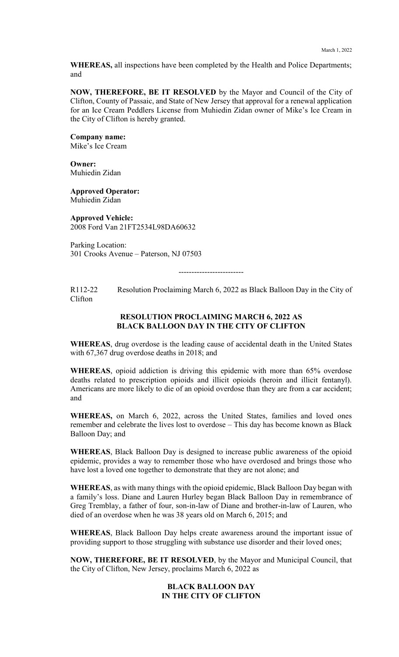**WHEREAS,** all inspections have been completed by the Health and Police Departments; and

**NOW, THEREFORE, BE IT RESOLVED** by the Mayor and Council of the City of Clifton, County of Passaic, and State of New Jersey that approval for a renewal application for an Ice Cream Peddlers License from Muhiedin Zidan owner of Mike's Ice Cream in the City of Clifton is hereby granted.

**Company name:** Mike's Ice Cream

**Owner:** Muhiedin Zidan

**Approved Operator:**  Muhiedin Zidan

**Approved Vehicle:** 2008 Ford Van 21FT2534L98DA60632

Parking Location: 301 Crooks Avenue – Paterson, NJ 07503

-------------------------

R112-22 Resolution Proclaiming March 6, 2022 as Black Balloon Day in the City of Clifton

#### **RESOLUTION PROCLAIMING MARCH 6, 2022 AS BLACK BALLOON DAY IN THE CITY OF CLIFTON**

**WHEREAS**, drug overdose is the leading cause of accidental death in the United States with 67,367 drug overdose deaths in 2018; and

**WHEREAS**, opioid addiction is driving this epidemic with more than 65% overdose deaths related to prescription opioids and illicit opioids (heroin and illicit fentanyl). Americans are more likely to die of an opioid overdose than they are from a car accident; and

**WHEREAS,** on March 6, 2022, across the United States, families and loved ones remember and celebrate the lives lost to overdose – This day has become known as Black Balloon Day; and

**WHEREAS**, Black Balloon Day is designed to increase public awareness of the opioid epidemic, provides a way to remember those who have overdosed and brings those who have lost a loved one together to demonstrate that they are not alone; and

**WHEREAS**, as with many things with the opioid epidemic, Black Balloon Day began with a family's loss. Diane and Lauren Hurley began Black Balloon Day in remembrance of Greg Tremblay, a father of four, son-in-law of Diane and brother-in-law of Lauren, who died of an overdose when he was 38 years old on March 6, 2015; and

**WHEREAS**, Black Balloon Day helps create awareness around the important issue of providing support to those struggling with substance use disorder and their loved ones;

**NOW, THEREFORE, BE IT RESOLVED**, by the Mayor and Municipal Council, that the City of Clifton, New Jersey, proclaims March 6, 2022 as

#### **BLACK BALLOON DAY IN THE CITY OF CLIFTON**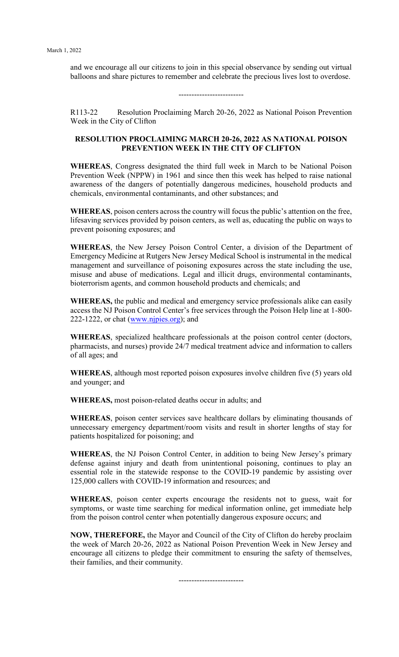and we encourage all our citizens to join in this special observance by sending out virtual balloons and share pictures to remember and celebrate the precious lives lost to overdose.

-------------------------

R113-22 Resolution Proclaiming March 20-26, 2022 as National Poison Prevention Week in the City of Clifton

# **RESOLUTION PROCLAIMING MARCH 20-26, 2022 AS NATIONAL POISON PREVENTION WEEK IN THE CITY OF CLIFTON**

**WHEREAS**, Congress designated the third full week in March to be National Poison Prevention Week (NPPW) in 1961 and since then this week has helped to raise national awareness of the dangers of potentially dangerous medicines, household products and chemicals, environmental contaminants, and other substances; and

**WHEREAS**, poison centers across the country will focus the public's attention on the free, lifesaving services provided by poison centers, as well as, educating the public on ways to prevent poisoning exposures; and

**WHEREAS**, the New Jersey Poison Control Center, a division of the Department of Emergency Medicine at Rutgers New Jersey Medical School is instrumental in the medical management and surveillance of poisoning exposures across the state including the use, misuse and abuse of medications. Legal and illicit drugs, environmental contaminants, bioterrorism agents, and common household products and chemicals; and

**WHEREAS,** the public and medical and emergency service professionals alike can easily access the NJ Poison Control Center's free services through the Poison Help line at 1-800- 222-1222, or chat  $(www.nipies.org)$ ; and

**WHEREAS**, specialized healthcare professionals at the poison control center (doctors, pharmacists, and nurses) provide 24/7 medical treatment advice and information to callers of all ages; and

**WHEREAS**, although most reported poison exposures involve children five (5) years old and younger; and

**WHEREAS,** most poison-related deaths occur in adults; and

**WHEREAS**, poison center services save healthcare dollars by eliminating thousands of unnecessary emergency department/room visits and result in shorter lengths of stay for patients hospitalized for poisoning; and

**WHEREAS**, the NJ Poison Control Center, in addition to being New Jersey's primary defense against injury and death from unintentional poisoning, continues to play an essential role in the statewide response to the COVID-19 pandemic by assisting over 125,000 callers with COVID-19 information and resources; and

**WHEREAS**, poison center experts encourage the residents not to guess, wait for symptoms, or waste time searching for medical information online, get immediate help from the poison control center when potentially dangerous exposure occurs; and

**NOW, THEREFORE,** the Mayor and Council of the City of Clifton do hereby proclaim the week of March 20-26, 2022 as National Poison Prevention Week in New Jersey and encourage all citizens to pledge their commitment to ensuring the safety of themselves, their families, and their community.

-------------------------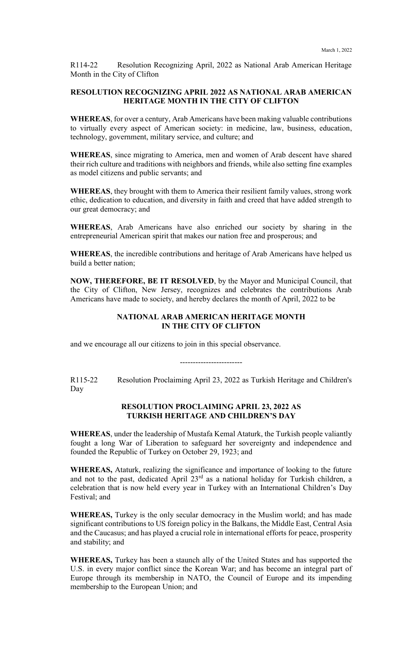R114-22 Resolution Recognizing April, 2022 as National Arab American Heritage Month in the City of Clifton

#### **RESOLUTION RECOGNIZING APRIL 2022 AS NATIONAL ARAB AMERICAN HERITAGE MONTH IN THE CITY OF CLIFTON**

**WHEREAS**, for over a century, Arab Americans have been making valuable contributions to virtually every aspect of American society: in medicine, law, business, education, technology, government, military service, and culture; and

**WHEREAS**, since migrating to America, men and women of Arab descent have shared their rich culture and traditions with neighbors and friends, while also setting fine examples as model citizens and public servants; and

**WHEREAS**, they brought with them to America their resilient family values, strong work ethic, dedication to education, and diversity in faith and creed that have added strength to our great democracy; and

**WHEREAS**, Arab Americans have also enriched our society by sharing in the entrepreneurial American spirit that makes our nation free and prosperous; and

**WHEREAS**, the incredible contributions and heritage of Arab Americans have helped us build a better nation;

**NOW, THEREFORE, BE IT RESOLVED**, by the Mayor and Municipal Council, that the City of Clifton, New Jersey, recognizes and celebrates the contributions Arab Americans have made to society, and hereby declares the month of April, 2022 to be

#### **NATIONAL ARAB AMERICAN HERITAGE MONTH IN THE CITY OF CLIFTON**

and we encourage all our citizens to join in this special observance.

------------------------

R115-22 Resolution Proclaiming April 23, 2022 as Turkish Heritage and Children's Day

#### **RESOLUTION PROCLAIMING APRIL 23, 2022 AS TURKISH HERITAGE AND CHILDREN'S DAY**

**WHEREAS**, under the leadership of Mustafa Kemal Ataturk, the Turkish people valiantly fought a long War of Liberation to safeguard her sovereignty and independence and founded the Republic of Turkey on October 29, 1923; and

**WHEREAS,** Ataturk, realizing the significance and importance of looking to the future and not to the past, dedicated April 23<sup>rd</sup> as a national holiday for Turkish children, a celebration that is now held every year in Turkey with an International Children's Day Festival; and

**WHEREAS,** Turkey is the only secular democracy in the Muslim world; and has made significant contributions to US foreign policy in the Balkans, the Middle East, Central Asia and the Caucasus; and has played a crucial role in international efforts for peace, prosperity and stability; and

**WHEREAS,** Turkey has been a staunch ally of the United States and has supported the U.S. in every major conflict since the Korean War; and has become an integral part of Europe through its membership in NATO, the Council of Europe and its impending membership to the European Union; and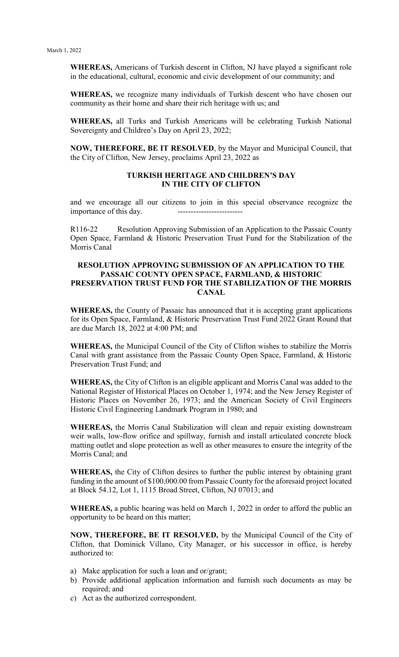**WHEREAS,** Americans of Turkish descent in Clifton, NJ have played a significant role in the educational, cultural, economic and civic development of our community; and

**WHEREAS,** we recognize many individuals of Turkish descent who have chosen our community as their home and share their rich heritage with us; and

**WHEREAS,** all Turks and Turkish Americans will be celebrating Turkish National Sovereignty and Children's Day on April 23, 2022;

**NOW, THEREFORE, BE IT RESOLVED**, by the Mayor and Municipal Council, that the City of Clifton, New Jersey, proclaims April 23, 2022 as

#### **TURKISH HERITAGE AND CHILDREN'S DAY IN THE CITY OF CLIFTON**

and we encourage all our citizens to join in this special observance recognize the importance of this day.

R116-22 Resolution Approving Submission of an Application to the Passaic County Open Space, Farmland & Historic Preservation Trust Fund for the Stabilization of the Morris Canal

#### **RESOLUTION APPROVING SUBMISSION OF AN APPLICATION TO THE PASSAIC COUNTY OPEN SPACE, FARMLAND, & HISTORIC PRESERVATION TRUST FUND FOR THE STABILIZATION OF THE MORRIS CANAL**

**WHEREAS,** the County of Passaic has announced that it is accepting grant applications for its Open Space, Farmland, & Historic Preservation Trust Fund 2022 Grant Round that are due March 18, 2022 at 4:00 PM; and

**WHEREAS,** the Municipal Council of the City of Clifton wishes to stabilize the Morris Canal with grant assistance from the Passaic County Open Space, Farmland, & Historic Preservation Trust Fund; and

**WHEREAS,** the City of Clifton is an eligible applicant and Morris Canal was added to the National Register of Historical Places on October 1, 1974; and the New Jersey Register of Historic Places on November 26, 1973; and the American Society of Civil Engineers Historic Civil Engineering Landmark Program in 1980; and

**WHEREAS,** the Morris Canal Stabilization will clean and repair existing downstream weir walls, low-flow orifice and spillway, furnish and install articulated concrete block matting outlet and slope protection as well as other measures to ensure the integrity of the Morris Canal; and

**WHEREAS,** the City of Clifton desires to further the public interest by obtaining grant funding in the amount of \$100,000.00 from Passaic County for the aforesaid project located at Block 54.12, Lot 1, 1115 Broad Street, Clifton, NJ 07013; and

**WHEREAS,** a public hearing was held on March 1, 2022 in order to afford the public an opportunity to be heard on this matter;

**NOW, THEREFORE, BE IT RESOLVED,** by the Municipal Council of the City of Clifton, that Dominick Villano, City Manager, or his successor in office, is hereby authorized to:

- a) Make application for such a loan and or/grant;
- b) Provide additional application information and furnish such documents as may be required; and
- c) Act as the authorized correspondent.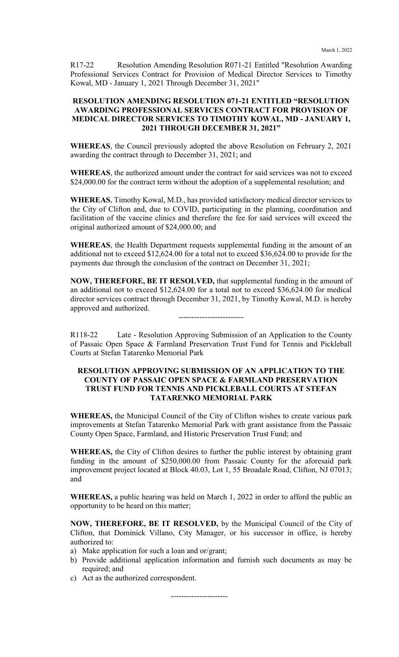R17-22 Resolution Amending Resolution R071-21 Entitled "Resolution Awarding Professional Services Contract for Provision of Medical Director Services to Timothy Kowal, MD - January 1, 2021 Through December 31, 2021"

#### **RESOLUTION AMENDING RESOLUTION 071-21 ENTITLED "RESOLUTION AWARDING PROFESSIONAL SERVICES CONTRACT FOR PROVISION OF MEDICAL DIRECTOR SERVICES TO TIMOTHY KOWAL, MD - JANUARY 1, 2021 THROUGH DECEMBER 31, 2021"**

**WHEREAS**, the Council previously adopted the above Resolution on February 2, 2021 awarding the contract through to December 31, 2021; and

**WHEREAS**, the authorized amount under the contract for said services was not to exceed \$24,000.00 for the contract term without the adoption of a supplemental resolution; and

**WHEREAS**, Timothy Kowal, M.D., has provided satisfactory medical director services to the City of Clifton and, due to COVID, participating in the planning, coordination and facilitation of the vaccine clinics and therefore the fee for said services will exceed the original authorized amount of \$24,000.00; and

**WHEREAS**, the Health Department requests supplemental funding in the amount of an additional not to exceed \$12,624.00 for a total not to exceed \$36,624.00 to provide for the payments due through the conclusion of the contract on December 31, 2021;

**NOW, THEREFORE, BE IT RESOLVED,** that supplemental funding in the amount of an additional not to exceed \$12,624.00 for a total not to exceed \$36,624.00 for medical director services contract through December 31, 2021, by Timothy Kowal, M.D. is hereby approved and authorized.

-------------------------

R118-22 Late - Resolution Approving Submission of an Application to the County of Passaic Open Space & Farmland Preservation Trust Fund for Tennis and Pickleball Courts at Stefan Tatarenko Memorial Park

#### **RESOLUTION APPROVING SUBMISSION OF AN APPLICATION TO THE COUNTY OF PASSAIC OPEN SPACE & FARMLAND PRESERVATION TRUST FUND FOR TENNIS AND PICKLEBALL COURTS AT STEFAN TATARENKO MEMORIAL PARK**

**WHEREAS,** the Municipal Council of the City of Clifton wishes to create various park improvements at Stefan Tatarenko Memorial Park with grant assistance from the Passaic County Open Space, Farmland, and Historic Preservation Trust Fund; and

**WHEREAS,** the City of Clifton desires to further the public interest by obtaining grant funding in the amount of \$250,000.00 from Passaic County for the aforesaid park improvement project located at Block 40.03, Lot 1, 55 Broadale Road, Clifton, NJ 07013; and

**WHEREAS,** a public hearing was held on March 1, 2022 in order to afford the public an opportunity to be heard on this matter;

**NOW, THEREFORE, BE IT RESOLVED,** by the Municipal Council of the City of Clifton, that Dominick Villano, City Manager, or his successor in office, is hereby authorized to:

- a) Make application for such a loan and or/grant;
- b) Provide additional application information and furnish such documents as may be required; and
- c) Act as the authorized correspondent.

----------------------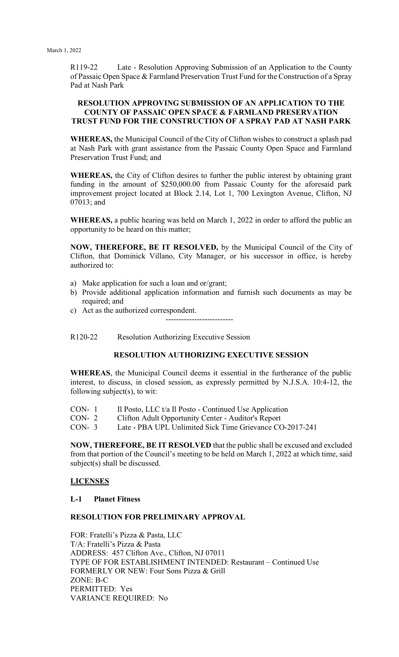R119-22 Late - Resolution Approving Submission of an Application to the County of Passaic Open Space & Farmland Preservation Trust Fund for the Construction of a Spray Pad at Nash Park

#### **RESOLUTION APPROVING SUBMISSION OF AN APPLICATION TO THE COUNTY OF PASSAIC OPEN SPACE & FARMLAND PRESERVATION TRUST FUND FOR THE CONSTRUCTION OF A SPRAY PAD AT NASH PARK**

**WHEREAS,** the Municipal Council of the City of Clifton wishes to construct a splash pad at Nash Park with grant assistance from the Passaic County Open Space and Farmland Preservation Trust Fund; and

**WHEREAS,** the City of Clifton desires to further the public interest by obtaining grant funding in the amount of \$250,000.00 from Passaic County for the aforesaid park improvement project located at Block 2.14, Lot 1, 700 Lexington Avenue, Clifton, NJ 07013; and

**WHEREAS,** a public hearing was held on March 1, 2022 in order to afford the public an opportunity to be heard on this matter;

**NOW, THEREFORE, BE IT RESOLVED,** by the Municipal Council of the City of Clifton, that Dominick Villano, City Manager, or his successor in office, is hereby authorized to:

- a) Make application for such a loan and or/grant;
- b) Provide additional application information and furnish such documents as may be required; and
- c) Act as the authorized correspondent.

--------------------------

R120-22 Resolution Authorizing Executive Session

#### **RESOLUTION AUTHORIZING EXECUTIVE SESSION**

**WHEREAS**, the Municipal Council deems it essential in the furtherance of the public interest, to discuss, in closed session, as expressly permitted by N.J.S.A. 10:4-12, the following subject(s), to wit:

- CON- 1 Il Posto, LLC t/a Il Posto Continued Use Application
- CON- 2 Clifton Adult Opportunity Center Auditor's Report
- CON- 3 Late PBA UPL Unlimited Sick Time Grievance CO-2017-241

**NOW, THEREFORE, BE IT RESOLVED** that the public shall be excused and excluded from that portion of the Council's meeting to be held on March 1, 2022 at which time, said subject(s) shall be discussed.

# **LICENSES**

#### **L-1 Planet Fitness**

# **RESOLUTION FOR PRELIMINARY APPROVAL**

FOR: Fratelli's Pizza & Pasta, LLC T/A: Fratelli's Pizza & Pasta ADDRESS: 457 Clifton Ave., Clifton, NJ 07011 TYPE OF FOR ESTABLISHMENT INTENDED: Restaurant – Continued Use FORMERLY OR NEW: Four Sons Pizza & Grill ZONE: B-C PERMITTED: Yes VARIANCE REQUIRED: No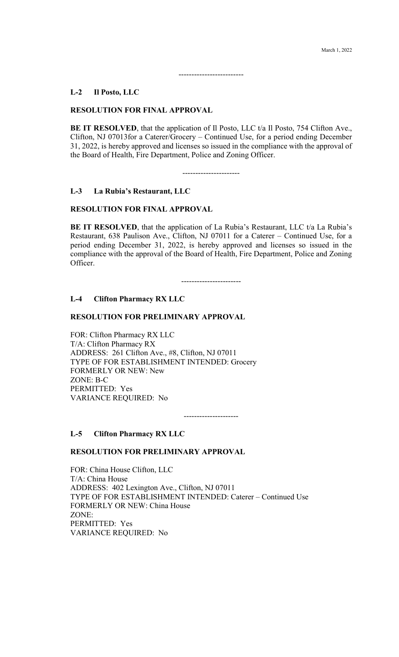#### **L-2 Il Posto, LLC**

#### **RESOLUTION FOR FINAL APPROVAL**

**BE IT RESOLVED**, that the application of Il Posto, LLC t/a Il Posto, 754 Clifton Ave., Clifton, NJ 07013for a Caterer/Grocery – Continued Use, for a period ending December 31, 2022, is hereby approved and licenses so issued in the compliance with the approval of the Board of Health, Fire Department, Police and Zoning Officer.

-------------------------

----------------------

#### **L-3 La Rubia's Restaurant, LLC**

#### **RESOLUTION FOR FINAL APPROVAL**

**BE IT RESOLVED**, that the application of La Rubia's Restaurant, LLC t/a La Rubia's Restaurant, 638 Paulison Ave., Clifton, NJ 07011 for a Caterer – Continued Use, for a period ending December 31, 2022, is hereby approved and licenses so issued in the compliance with the approval of the Board of Health, Fire Department, Police and Zoning Officer.

-----------------------

# **L-4 Clifton Pharmacy RX LLC**

#### **RESOLUTION FOR PRELIMINARY APPROVAL**

FOR: Clifton Pharmacy RX LLC T/A: Clifton Pharmacy RX ADDRESS: 261 Clifton Ave., #8, Clifton, NJ 07011 TYPE OF FOR ESTABLISHMENT INTENDED: Grocery FORMERLY OR NEW: New ZONE: B-C PERMITTED: Yes VARIANCE REQUIRED: No

---------------------

#### **L-5 Clifton Pharmacy RX LLC**

#### **RESOLUTION FOR PRELIMINARY APPROVAL**

FOR: China House Clifton, LLC T/A: China House ADDRESS: 402 Lexington Ave., Clifton, NJ 07011 TYPE OF FOR ESTABLISHMENT INTENDED: Caterer – Continued Use FORMERLY OR NEW: China House ZONE: PERMITTED: Yes VARIANCE REQUIRED: No